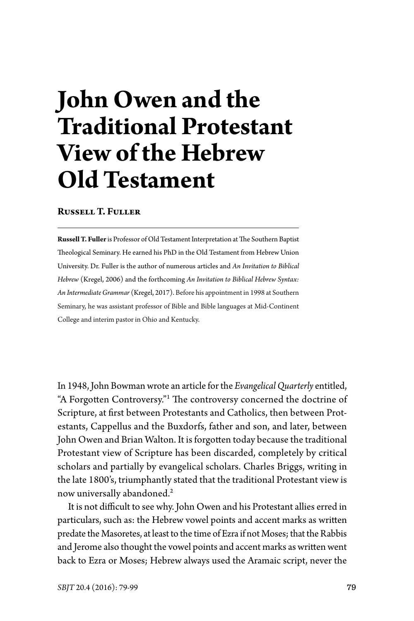# **John Owen and the Traditional Protestant View of the Hebrew Old Testament**

## **Russell T. Fuller**

**Russell T. Fuller** is Professor of Old Testament Interpretation at The Southern Baptist Theological Seminary. He earned his PhD in the Old Testament from Hebrew Union University. Dr. Fuller is the author of numerous articles and *An Invitation to Biblical Hebrew* (Kregel, 2006) and the forthcoming *An Invitation to Biblical Hebrew Syntax: An Intermediate Grammar* (Kregel, 2017). Before his appointment in 1998 at Southern Seminary, he was assistant professor of Bible and Bible languages at Mid-Continent College and interim pastor in Ohio and Kentucky.

In 1948, John Bowman wrote an article for the *Evangelical Quarterly* entitled, "A Forgotten Controversy."<sup>1</sup> The controversy concerned the doctrine of Scripture, at first between Protestants and Catholics, then between Protestants, Cappellus and the Buxdorfs, father and son, and later, between John Owen and Brian Walton. It is forgotten today because the traditional Protestant view of Scripture has been discarded, completely by critical scholars and partially by evangelical scholars. Charles Briggs, writing in the late 1800's, triumphantly stated that the traditional Protestant view is now universally abandoned.<sup>2</sup>

It is not difficult to see why. John Owen and his Protestant allies erred in particulars, such as: the Hebrew vowel points and accent marks as written predate the Masoretes, at least to the time of Ezra if not Moses; that the Rabbis and Jerome also thought the vowel points and accent marks as written went back to Ezra or Moses; Hebrew always used the Aramaic script, never the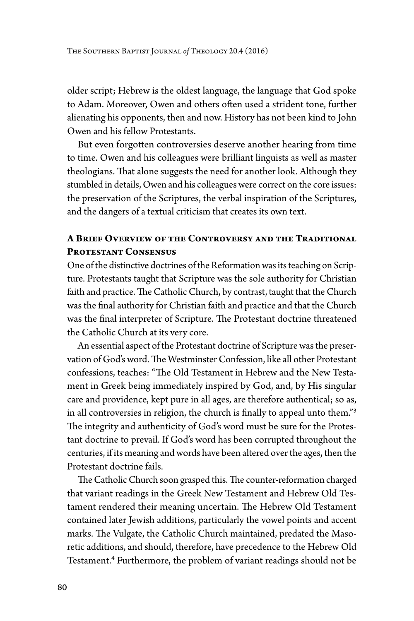older script; Hebrew is the oldest language, the language that God spoke to Adam. Moreover, Owen and others often used a strident tone, further alienating his opponents, then and now. History has not been kind to John Owen and his fellow Protestants.

But even forgotten controversies deserve another hearing from time to time. Owen and his colleagues were brilliant linguists as well as master theologians. That alone suggests the need for another look. Although they stumbled in details, Owen and his colleagues were correct on the core issues: the preservation of the Scriptures, the verbal inspiration of the Scriptures, and the dangers of a textual criticism that creates its own text.

# **A Brief Overview of the Controversy and the Traditional Protestant Consensus**

One of the distinctive doctrines of the Reformation was its teaching on Scripture. Protestants taught that Scripture was the sole authority for Christian faith and practice. The Catholic Church, by contrast, taught that the Church was the final authority for Christian faith and practice and that the Church was the final interpreter of Scripture. The Protestant doctrine threatened the Catholic Church at its very core.

An essential aspect of the Protestant doctrine of Scripture was the preservation of God's word. The Westminster Confession, like all other Protestant confessions, teaches: "The Old Testament in Hebrew and the New Testament in Greek being immediately inspired by God, and, by His singular care and providence, kept pure in all ages, are therefore authentical; so as, in all controversies in religion, the church is finally to appeal unto them."<sup>3</sup> The integrity and authenticity of God's word must be sure for the Protestant doctrine to prevail. If God's word has been corrupted throughout the centuries, if its meaning and words have been altered over the ages, then the Protestant doctrine fails.

The Catholic Church soon grasped this. The counter-reformation charged that variant readings in the Greek New Testament and Hebrew Old Testament rendered their meaning uncertain. The Hebrew Old Testament contained later Jewish additions, particularly the vowel points and accent marks. The Vulgate, the Catholic Church maintained, predated the Masoretic additions, and should, therefore, have precedence to the Hebrew Old Testament.<sup>4</sup> Furthermore, the problem of variant readings should not be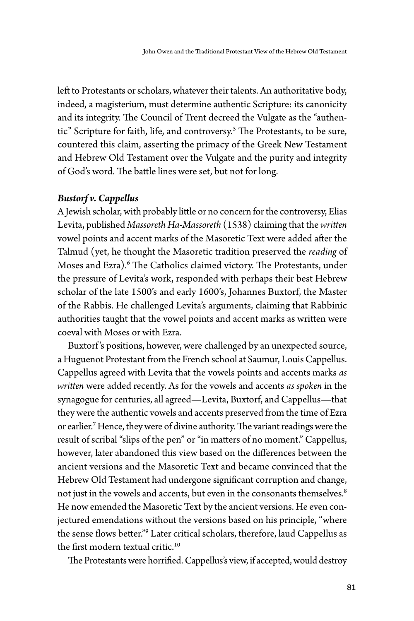left to Protestants or scholars, whatever their talents. An authoritative body, indeed, a magisterium, must determine authentic Scripture: its canonicity and its integrity. The Council of Trent decreed the Vulgate as the "authentic" Scripture for faith, life, and controversy.<sup>5</sup> The Protestants, to be sure, countered this claim, asserting the primacy of the Greek New Testament and Hebrew Old Testament over the Vulgate and the purity and integrity of God's word. The battle lines were set, but not for long.

## *Bustorf v. Cappellus*

A Jewish scholar, with probably little or no concern for the controversy, Elias Levita, published *Massoreth Ha-Massoreth* (1538) claiming that the *written* vowel points and accent marks of the Masoretic Text were added after the Talmud (yet, he thought the Masoretic tradition preserved the *reading* of Moses and Ezra).<sup>6</sup> The Catholics claimed victory. The Protestants, under the pressure of Levita's work, responded with perhaps their best Hebrew scholar of the late 1500's and early 1600's, Johannes Buxtorf, the Master of the Rabbis. He challenged Levita's arguments, claiming that Rabbinic authorities taught that the vowel points and accent marks as written were coeval with Moses or with Ezra.

Buxtorf 's positions, however, were challenged by an unexpected source, a Huguenot Protestant from the French school at Saumur, Louis Cappellus. Cappellus agreed with Levita that the vowels points and accents marks *as written* were added recently. As for the vowels and accents *as spoken* in the synagogue for centuries, all agreed—Levita, Buxtorf, and Cappellus—that they were the authentic vowels and accents preserved from the time of Ezra or earlier.<sup>7</sup> Hence, they were of divine authority. The variant readings were the result of scribal "slips of the pen" or "in matters of no moment." Cappellus, however, later abandoned this view based on the differences between the ancient versions and the Masoretic Text and became convinced that the Hebrew Old Testament had undergone significant corruption and change, not just in the vowels and accents, but even in the consonants themselves. 8 He now emended the Masoretic Text by the ancient versions. He even conjectured emendations without the versions based on his principle, "where the sense flows better."<sup>9</sup> Later critical scholars, therefore, laud Cappellus as the first modern textual critic.<sup>10</sup>

The Protestants were horrified. Cappellus's view, if accepted, would destroy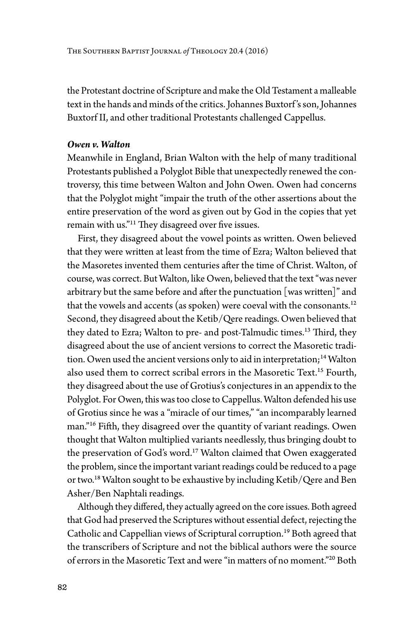The Southern Baptist Journal *of* Theology 20.4 (2016)

the Protestant doctrine of Scripture and make the Old Testament a malleable text in the hands and minds of the critics. Johannes Buxtorf 's son, Johannes Buxtorf II, and other traditional Protestants challenged Cappellus.

### *Owen v. Walton*

Meanwhile in England, Brian Walton with the help of many traditional Protestants published a Polyglot Bible that unexpectedly renewed the controversy, this time between Walton and John Owen. Owen had concerns that the Polyglot might "impair the truth of the other assertions about the entire preservation of the word as given out by God in the copies that yet remain with us."<sup>11</sup> They disagreed over five issues.

First, they disagreed about the vowel points as written. Owen believed that they were written at least from the time of Ezra; Walton believed that the Masoretes invented them centuries after the time of Christ. Walton, of course, was correct. But Walton, like Owen, believed that the text "was never arbitrary but the same before and after the punctuation [was written]" and that the vowels and accents (as spoken) were coeval with the consonants.<sup>12</sup> Second, they disagreed about the Ketib/Qere readings. Owen believed that they dated to Ezra; Walton to pre- and post-Talmudic times.<sup>13</sup> Third, they disagreed about the use of ancient versions to correct the Masoretic tradition. Owen used the ancient versions only to aid in interpretation;<sup>14</sup> Walton also used them to correct scribal errors in the Masoretic Text.<sup>15</sup> Fourth, they disagreed about the use of Grotius's conjectures in an appendix to the Polyglot. For Owen, this was too close to Cappellus. Walton defended his use of Grotius since he was a "miracle of our times," "an incomparably learned man."<sup>16</sup> Fifth, they disagreed over the quantity of variant readings. Owen thought that Walton multiplied variants needlessly, thus bringing doubt to the preservation of God's word.<sup>17</sup> Walton claimed that Owen exaggerated the problem, since the important variant readings could be reduced to a page or two.<sup>18</sup> Walton sought to be exhaustive by including Ketib/Qere and Ben Asher/Ben Naphtali readings.

Although they differed, they actually agreed on the core issues. Both agreed that God had preserved the Scriptures without essential defect, rejecting the Catholic and Cappellian views of Scriptural corruption.<sup>19</sup> Both agreed that the transcribers of Scripture and not the biblical authors were the source of errors in the Masoretic Text and were "in matters of no moment."20 Both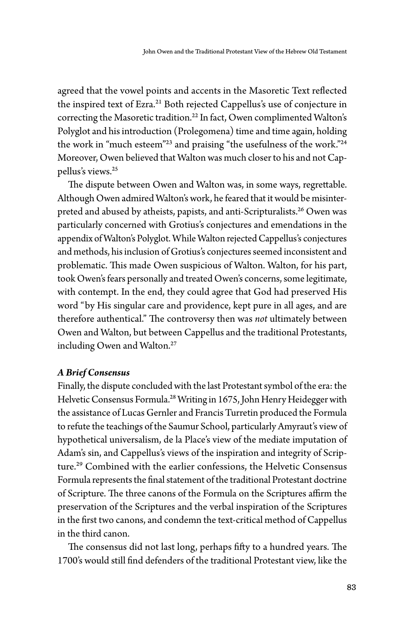agreed that the vowel points and accents in the Masoretic Text reflected the inspired text of Ezra.<sup>21</sup> Both rejected Cappellus's use of conjecture in correcting the Masoretic tradition.<sup>22</sup> In fact, Owen complimented Walton's Polyglot and his introduction (Prolegomena) time and time again, holding the work in "much esteem"<sup>23</sup> and praising "the usefulness of the work."<sup>24</sup> Moreover, Owen believed that Walton was much closer to his and not Cappellus's views.<sup>25</sup>

The dispute between Owen and Walton was, in some ways, regrettable. Although Owen admired Walton's work, he feared that it would be misinterpreted and abused by atheists, papists, and anti-Scripturalists.<sup>26</sup> Owen was particularly concerned with Grotius's conjectures and emendations in the appendix of Walton's Polyglot. While Walton rejected Cappellus's conjectures and methods, his inclusion of Grotius's conjectures seemed inconsistent and problematic. This made Owen suspicious of Walton. Walton, for his part, took Owen's fears personally and treated Owen's concerns, some legitimate, with contempt. In the end, they could agree that God had preserved His word "by His singular care and providence, kept pure in all ages, and are therefore authentical." The controversy then was *not* ultimately between Owen and Walton, but between Cappellus and the traditional Protestants, including Owen and Walton.<sup>27</sup>

#### *A Brief Consensus*

Finally, the dispute concluded with the last Protestant symbol of the era: the Helvetic Consensus Formula.<sup>28</sup> Writing in 1675, John Henry Heidegger with the assistance of Lucas Gernler and Francis Turretin produced the Formula to refute the teachings of the Saumur School, particularly Amyraut's view of hypothetical universalism, de la Place's view of the mediate imputation of Adam's sin, and Cappellus's views of the inspiration and integrity of Scripture.<sup>29</sup> Combined with the earlier confessions, the Helvetic Consensus Formula represents the final statement of the traditional Protestant doctrine of Scripture. The three canons of the Formula on the Scriptures affirm the preservation of the Scriptures and the verbal inspiration of the Scriptures in the first two canons, and condemn the text-critical method of Cappellus in the third canon.

The consensus did not last long, perhaps fifty to a hundred years. The 1700's would still find defenders of the traditional Protestant view, like the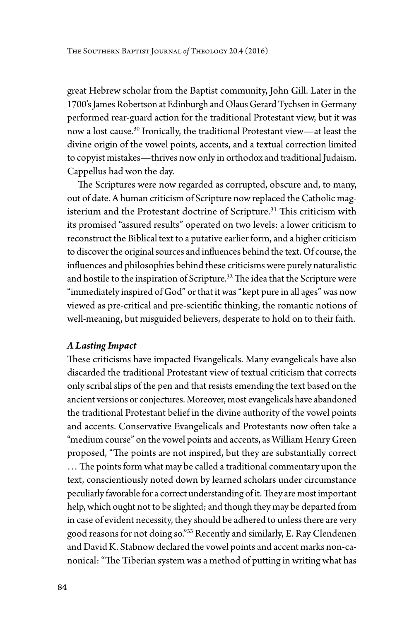great Hebrew scholar from the Baptist community, John Gill. Later in the 1700's James Robertson at Edinburgh and Olaus Gerard Tychsen in Germany performed rear-guard action for the traditional Protestant view, but it was now a lost cause.<sup>30</sup> Ironically, the traditional Protestant view—at least the divine origin of the vowel points, accents, and a textual correction limited to copyist mistakes—thrives now only in orthodox and traditional Judaism. Cappellus had won the day.

The Scriptures were now regarded as corrupted, obscure and, to many, out of date. A human criticism of Scripture now replaced the Catholic magisterium and the Protestant doctrine of Scripture.<sup>31</sup> This criticism with its promised "assured results" operated on two levels: a lower criticism to reconstruct the Biblical text to a putative earlier form, and a higher criticism to discover the original sources and influences behind the text. Of course, the influences and philosophies behind these criticisms were purely naturalistic and hostile to the inspiration of Scripture.<sup>32</sup> The idea that the Scripture were "immediately inspired of God" or that it was "kept pure in all ages" was now viewed as pre-critical and pre-scientific thinking, the romantic notions of well-meaning, but misguided believers, desperate to hold on to their faith.

# *A Lasting Impact*

These criticisms have impacted Evangelicals. Many evangelicals have also discarded the traditional Protestant view of textual criticism that corrects only scribal slips of the pen and that resists emending the text based on the ancient versions or conjectures. Moreover, most evangelicals have abandoned the traditional Protestant belief in the divine authority of the vowel points and accents. Conservative Evangelicals and Protestants now often take a "medium course" on the vowel points and accents, as William Henry Green proposed, "The points are not inspired, but they are substantially correct … The points form what may be called a traditional commentary upon the text, conscientiously noted down by learned scholars under circumstance peculiarly favorable for a correct understanding of it. They are most important help, which ought not to be slighted; and though they may be departed from in case of evident necessity, they should be adhered to unless there are very good reasons for not doing so."<sup>33</sup> Recently and similarly, E. Ray Clendenen and David K. Stabnow declared the vowel points and accent marks non-canonical: "The Tiberian system was a method of putting in writing what has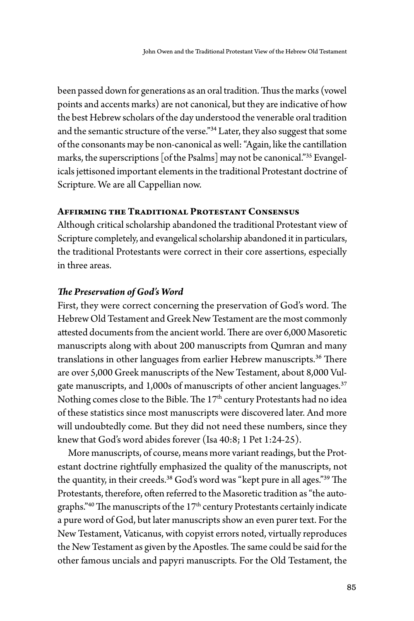been passed down for generations as an oral tradition. Thus the marks (vowel points and accents marks) are not canonical, but they are indicative of how the best Hebrew scholars of the day understood the venerable oral tradition and the semantic structure of the verse."<sup>34</sup> Later, they also suggest that some of the consonants may be non-canonical as well: "Again, like the cantillation marks, the superscriptions [of the Psalms] may not be canonical."<sup>35</sup> Evangelicals jettisoned important elements in the traditional Protestant doctrine of Scripture. We are all Cappellian now.

# **Affirming the Traditional Protestant Consensus**

Although critical scholarship abandoned the traditional Protestant view of Scripture completely, and evangelical scholarship abandoned it in particulars, the traditional Protestants were correct in their core assertions, especially in three areas.

### *The Preservation of God's Word*

First, they were correct concerning the preservation of God's word. The Hebrew Old Testament and Greek New Testament are the most commonly attested documents from the ancient world. There are over 6,000 Masoretic manuscripts along with about 200 manuscripts from Qumran and many translations in other languages from earlier Hebrew manuscripts.<sup>36</sup> There are over 5,000 Greek manuscripts of the New Testament, about 8,000 Vulgate manuscripts, and 1,000s of manuscripts of other ancient languages.<sup>37</sup> Nothing comes close to the Bible. The 17<sup>th</sup> century Protestants had no idea of these statistics since most manuscripts were discovered later. And more will undoubtedly come. But they did not need these numbers, since they knew that God's word abides forever (Isa 40:8; 1 Pet 1:24-25).

More manuscripts, of course, means more variant readings, but the Protestant doctrine rightfully emphasized the quality of the manuscripts, not the quantity, in their creeds.<sup>38</sup> God's word was "kept pure in all ages."<sup>39</sup> The Protestants, therefore, often referred to the Masoretic tradition as "the autographs." $40$  The manuscripts of the  $17<sup>th</sup>$  century Protestants certainly indicate a pure word of God, but later manuscripts show an even purer text. For the New Testament, Vaticanus, with copyist errors noted, virtually reproduces the New Testament as given by the Apostles. The same could be said for the other famous uncials and papyri manuscripts. For the Old Testament, the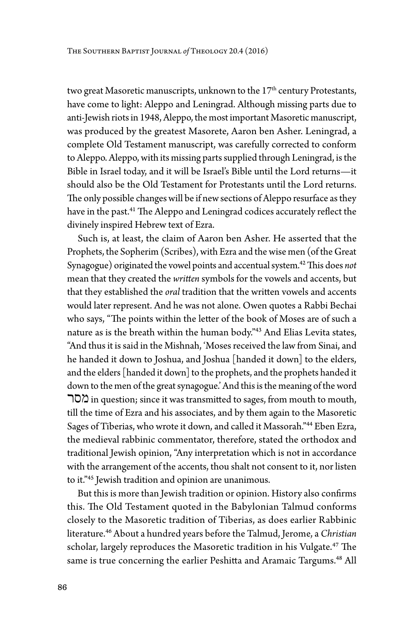two great Masoretic manuscripts, unknown to the 17<sup>th</sup> century Protestants, have come to light: Aleppo and Leningrad. Although missing parts due to anti-Jewish riots in 1948, Aleppo, the most important Masoretic manuscript, was produced by the greatest Masorete, Aaron ben Asher. Leningrad, a complete Old Testament manuscript, was carefully corrected to conform to Aleppo. Aleppo, with its missing parts supplied through Leningrad, is the Bible in Israel today, and it will be Israel's Bible until the Lord returns—it should also be the Old Testament for Protestants until the Lord returns. The only possible changes will be if new sections of Aleppo resurface as they have in the past.<sup>41</sup> The Aleppo and Leningrad codices accurately reflect the divinely inspired Hebrew text of Ezra.

Such is, at least, the claim of Aaron ben Asher. He asserted that the Prophets, the Sopherim (Scribes), with Ezra and the wise men (of the Great Synagogue) originated the vowel points and accentual system.<sup>42</sup> This does *not* mean that they created the *written* symbols for the vowels and accents, but that they established the *oral* tradition that the written vowels and accents would later represent. And he was not alone. Owen quotes a Rabbi Bechai who says, "The points within the letter of the book of Moses are of such a nature as is the breath within the human body."<sup>43</sup> And Elias Levita states, "And thus it is said in the Mishnah, 'Moses received the law from Sinai, and he handed it down to Joshua, and Joshua [handed it down] to the elders, and the elders [handed it down] to the prophets, and the prophets handed it down to the men of the great synagogue.' And this is the meaning of the word מסר in question; since it was transmitted to sages, from mouth to mouth, till the time of Ezra and his associates, and by them again to the Masoretic Sages of Tiberias, who wrote it down, and called it Massorah."<sup>44</sup> Eben Ezra, the medieval rabbinic commentator, therefore, stated the orthodox and traditional Jewish opinion, "Any interpretation which is not in accordance with the arrangement of the accents, thou shalt not consent to it, nor listen to it."<sup>45</sup> Jewish tradition and opinion are unanimous.

But this is more than Jewish tradition or opinion. History also confirms this. The Old Testament quoted in the Babylonian Talmud conforms closely to the Masoretic tradition of Tiberias, as does earlier Rabbinic literature.<sup>46</sup> About a hundred years before the Talmud, Jerome, a *Christian* scholar, largely reproduces the Masoretic tradition in his Vulgate.<sup>47</sup> The same is true concerning the earlier Peshitta and Aramaic Targums.<sup>48</sup> All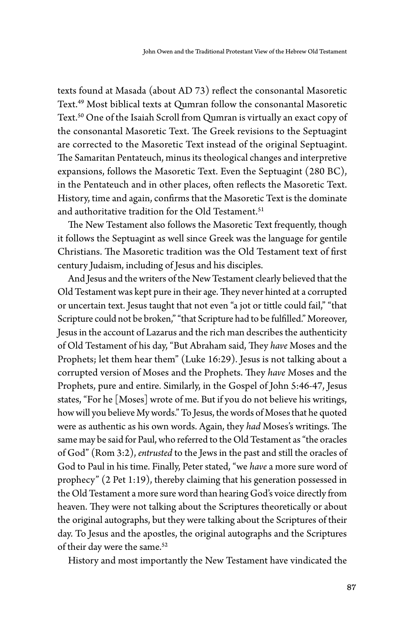texts found at Masada (about AD 73) reflect the consonantal Masoretic Text.<sup>49</sup> Most biblical texts at Qumran follow the consonantal Masoretic Text.<sup>50</sup> One of the Isaiah Scroll from Qumran is virtually an exact copy of the consonantal Masoretic Text. The Greek revisions to the Septuagint are corrected to the Masoretic Text instead of the original Septuagint. The Samaritan Pentateuch, minus its theological changes and interpretive expansions, follows the Masoretic Text. Even the Septuagint (280 BC), in the Pentateuch and in other places, often reflects the Masoretic Text. History, time and again, confirms that the Masoretic Text is the dominate and authoritative tradition for the Old Testament.<sup>51</sup>

The New Testament also follows the Masoretic Text frequently, though it follows the Septuagint as well since Greek was the language for gentile Christians. The Masoretic tradition was the Old Testament text of first century Judaism, including of Jesus and his disciples.

And Jesus and the writers of the New Testament clearly believed that the Old Testament was kept pure in their age. They never hinted at a corrupted or uncertain text. Jesus taught that not even "a jot or tittle could fail," "that Scripture could not be broken," "that Scripture had to be fulfilled." Moreover, Jesus in the account of Lazarus and the rich man describes the authenticity of Old Testament of his day, "But Abraham said, They *have* Moses and the Prophets; let them hear them" (Luke 16:29). Jesus is not talking about a corrupted version of Moses and the Prophets. They *have* Moses and the Prophets, pure and entire. Similarly, in the Gospel of John 5:46-47, Jesus states, "For he [Moses] wrote of me. But if you do not believe his writings, how will you believe My words." To Jesus, the words of Moses that he quoted were as authentic as his own words. Again, they *had* Moses's writings. The same may be said for Paul, who referred to the Old Testament as "the oracles of God" (Rom 3:2), *entrusted* to the Jews in the past and still the oracles of God to Paul in his time. Finally, Peter stated, "we *have* a more sure word of prophecy" (2 Pet 1:19), thereby claiming that his generation possessed in the Old Testament a more sure word than hearing God's voice directly from heaven. They were not talking about the Scriptures theoretically or about the original autographs, but they were talking about the Scriptures of their day. To Jesus and the apostles, the original autographs and the Scriptures of their day were the same.<sup>52</sup>

History and most importantly the New Testament have vindicated the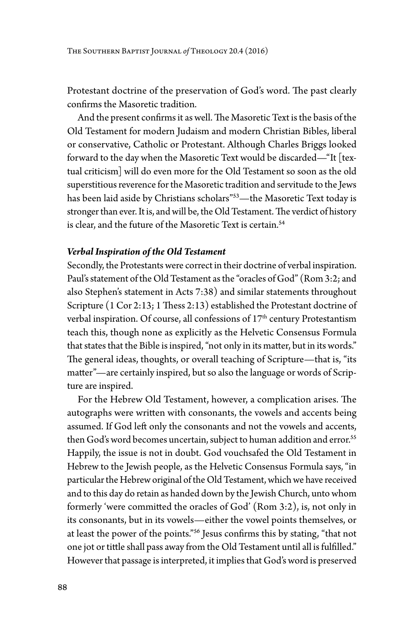Protestant doctrine of the preservation of God's word. The past clearly confirms the Masoretic tradition.

And the present confirms it as well. The Masoretic Text is the basis of the Old Testament for modern Judaism and modern Christian Bibles, liberal or conservative, Catholic or Protestant. Although Charles Briggs looked forward to the day when the Masoretic Text would be discarded—"It [textual criticism] will do even more for the Old Testament so soon as the old superstitious reverence for the Masoretic tradition and servitude to the Jews has been laid aside by Christians scholars"<sup>53</sup>-the Masoretic Text today is stronger than ever. It is, and will be, the Old Testament. The verdict of history is clear, and the future of the Masoretic Text is certain.<sup>54</sup>

#### *Verbal Inspiration of the Old Testament*

Secondly, the Protestants were correct in their doctrine of verbal inspiration. Paul's statement of the Old Testament as the "oracles of God" (Rom 3:2; and also Stephen's statement in Acts 7:38) and similar statements throughout Scripture (1 Cor 2:13; 1 Thess 2:13) established the Protestant doctrine of verbal inspiration. Of course, all confessions of 17<sup>th</sup> century Protestantism teach this, though none as explicitly as the Helvetic Consensus Formula that states that the Bible is inspired, "not only in its matter, but in its words." The general ideas, thoughts, or overall teaching of Scripture—that is, "its matter"—are certainly inspired, but so also the language or words of Scripture are inspired.

For the Hebrew Old Testament, however, a complication arises. The autographs were written with consonants, the vowels and accents being assumed. If God left only the consonants and not the vowels and accents, then God's word becomes uncertain, subject to human addition and error.<sup>55</sup> Happily, the issue is not in doubt. God vouchsafed the Old Testament in Hebrew to the Jewish people, as the Helvetic Consensus Formula says, "in particular the Hebrew original of the Old Testament, which we have received and to this day do retain as handed down by the Jewish Church, unto whom formerly 'were committed the oracles of God' (Rom 3:2), is, not only in its consonants, but in its vowels—either the vowel points themselves, or at least the power of the points."<sup>56</sup> Jesus confirms this by stating, "that not one jot or tittle shall pass away from the Old Testament until all is fulfilled." However that passage is interpreted, it implies that God's word is preserved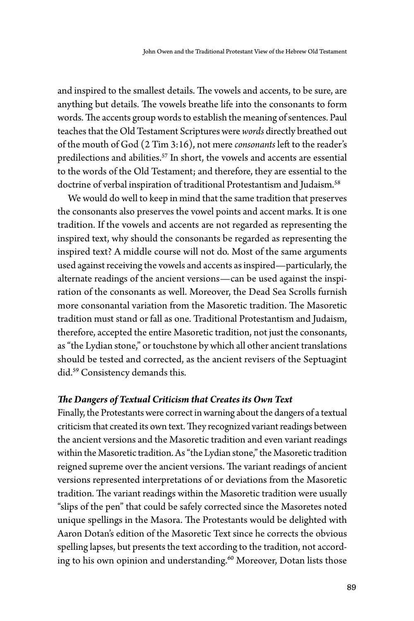and inspired to the smallest details. The vowels and accents, to be sure, are anything but details. The vowels breathe life into the consonants to form words. The accents group words to establish the meaning of sentences. Paul teaches that the Old Testament Scriptures were *words* directly breathed out of the mouth of God (2 Tim 3:16), not mere *consonants* left to the reader's predilections and abilities.<sup>57</sup> In short, the vowels and accents are essential to the words of the Old Testament; and therefore, they are essential to the doctrine of verbal inspiration of traditional Protestantism and Judaism.<sup>58</sup>

We would do well to keep in mind that the same tradition that preserves the consonants also preserves the vowel points and accent marks. It is one tradition. If the vowels and accents are not regarded as representing the inspired text, why should the consonants be regarded as representing the inspired text? A middle course will not do. Most of the same arguments used against receiving the vowels and accents as inspired—particularly, the alternate readings of the ancient versions—can be used against the inspiration of the consonants as well. Moreover, the Dead Sea Scrolls furnish more consonantal variation from the Masoretic tradition. The Masoretic tradition must stand or fall as one. Traditional Protestantism and Judaism, therefore, accepted the entire Masoretic tradition, not just the consonants, as "the Lydian stone," or touchstone by which all other ancient translations should be tested and corrected, as the ancient revisers of the Septuagint did.<sup>59</sup> Consistency demands this.

#### *The Dangers of Textual Criticism that Creates its Own Text*

Finally, the Protestants were correct in warning about the dangers of a textual criticism that created its own text. They recognized variant readings between the ancient versions and the Masoretic tradition and even variant readings within the Masoretic tradition. As "the Lydian stone," the Masoretic tradition reigned supreme over the ancient versions. The variant readings of ancient versions represented interpretations of or deviations from the Masoretic tradition. The variant readings within the Masoretic tradition were usually "slips of the pen" that could be safely corrected since the Masoretes noted unique spellings in the Masora. The Protestants would be delighted with Aaron Dotan's edition of the Masoretic Text since he corrects the obvious spelling lapses, but presents the text according to the tradition, not according to his own opinion and understanding.<sup>60</sup> Moreover, Dotan lists those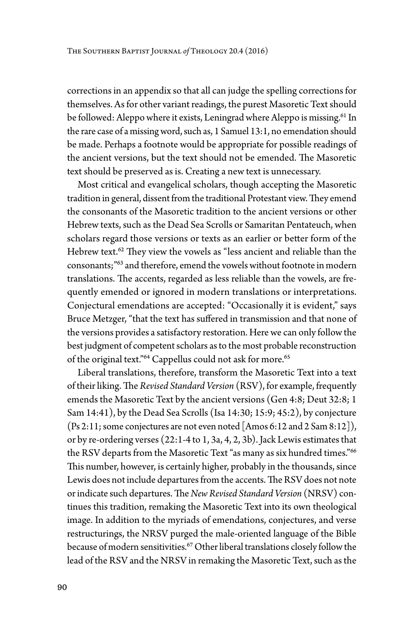corrections in an appendix so that all can judge the spelling corrections for themselves. As for other variant readings, the purest Masoretic Text should be followed: Aleppo where it exists, Leningrad where Aleppo is missing.<sup>61</sup> In the rare case of a missing word, such as, 1 Samuel 13:1, no emendation should be made. Perhaps a footnote would be appropriate for possible readings of the ancient versions, but the text should not be emended. The Masoretic text should be preserved as is. Creating a new text is unnecessary.

Most critical and evangelical scholars, though accepting the Masoretic tradition in general, dissent from the traditional Protestant view. They emend the consonants of the Masoretic tradition to the ancient versions or other Hebrew texts, such as the Dead Sea Scrolls or Samaritan Pentateuch, when scholars regard those versions or texts as an earlier or better form of the Hebrew text.<sup>62</sup> They view the vowels as "less ancient and reliable than the consonants;"<sup>63</sup> and therefore, emend the vowels without footnote in modern translations. The accents, regarded as less reliable than the vowels, are frequently emended or ignored in modern translations or interpretations. Conjectural emendations are accepted: "Occasionally it is evident," says Bruce Metzger, "that the text has suffered in transmission and that none of the versions provides a satisfactory restoration. Here we can only follow the best judgment of competent scholars as to the most probable reconstruction of the original text."<sup>64</sup> Cappellus could not ask for more.<sup>65</sup>

Liberal translations, therefore, transform the Masoretic Text into a text of their liking. The *Revised Standard Version* (RSV), for example, frequently emends the Masoretic Text by the ancient versions (Gen 4:8; Deut 32:8; 1 Sam 14:41), by the Dead Sea Scrolls (Isa 14:30; 15:9; 45:2), by conjecture  $(Ps 2:11;$  some conjectures are not even noted [Amos 6:12 and 2 Sam 8:12]), or by re-ordering verses (22:1-4 to 1, 3a, 4, 2, 3b). Jack Lewis estimates that the RSV departs from the Masoretic Text "as many as six hundred times."<sup>66</sup> This number, however, is certainly higher, probably in the thousands, since Lewis does not include departures from the accents. The RSV does not note or indicate such departures. The *New Revised Standard Version* (NRSV) continues this tradition, remaking the Masoretic Text into its own theological image. In addition to the myriads of emendations, conjectures, and verse restructurings, the NRSV purged the male-oriented language of the Bible because of modern sensitivities.<sup>67</sup> Other liberal translations closely follow the lead of the RSV and the NRSV in remaking the Masoretic Text, such as the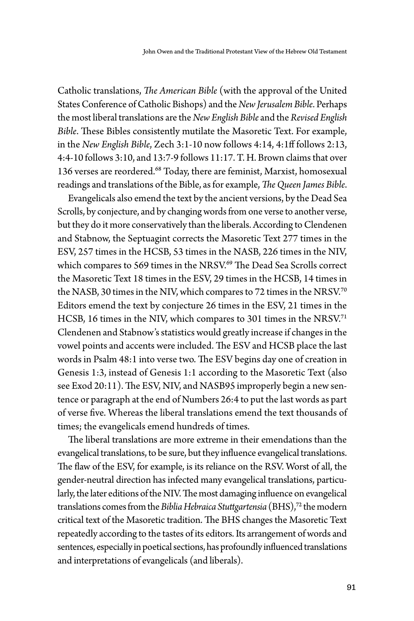Catholic translations, *The American Bible* (with the approval of the United States Conference of Catholic Bishops) and the *New Jerusalem Bible*. Perhaps the most liberal translations are the *New English Bible* and the *Revised English Bible*. These Bibles consistently mutilate the Masoretic Text. For example, in the *New English Bible*, Zech 3:1-10 now follows 4:14, 4:1ff follows 2:13, 4:4-10 follows 3:10, and 13:7-9 follows 11:17. T. H. Brown claims that over 136 verses are reordered.<sup>68</sup> Today, there are feminist, Marxist, homosexual readings and translations of the Bible, as for example, *The Queen James Bible*.

Evangelicals also emend the text by the ancient versions, by the Dead Sea Scrolls, by conjecture, and by changing words from one verse to another verse, but they do it more conservatively than the liberals. According to Clendenen and Stabnow, the Septuagint corrects the Masoretic Text 277 times in the ESV, 257 times in the HCSB, 53 times in the NASB, 226 times in the NIV, which compares to 569 times in the NRSV.<sup>69</sup> The Dead Sea Scrolls correct the Masoretic Text 18 times in the ESV, 29 times in the HCSB, 14 times in the NASB, 30 times in the NIV, which compares to 72 times in the NRSV.<sup>70</sup> Editors emend the text by conjecture 26 times in the ESV, 21 times in the HCSB, 16 times in the NIV, which compares to 301 times in the NRSV.<sup>71</sup> Clendenen and Stabnow's statistics would greatly increase if changes in the vowel points and accents were included. The ESV and HCSB place the last words in Psalm 48:1 into verse two. The ESV begins day one of creation in Genesis 1:3, instead of Genesis 1:1 according to the Masoretic Text (also see Exod 20:11). The ESV, NIV, and NASB95 improperly begin a new sentence or paragraph at the end of Numbers 26:4 to put the last words as part of verse five. Whereas the liberal translations emend the text thousands of times; the evangelicals emend hundreds of times.

The liberal translations are more extreme in their emendations than the evangelical translations, to be sure, but they influence evangelical translations. The flaw of the ESV, for example, is its reliance on the RSV. Worst of all, the gender-neutral direction has infected many evangelical translations, particularly, the later editions of the NIV. The most damaging influence on evangelical translations comes from the *Biblia Hebraica Stuttgartensia* (BHS),<sup>72</sup> the modern critical text of the Masoretic tradition. The BHS changes the Masoretic Text repeatedly according to the tastes of its editors. Its arrangement of words and sentences, especially in poetical sections, has profoundly influenced translations and interpretations of evangelicals (and liberals).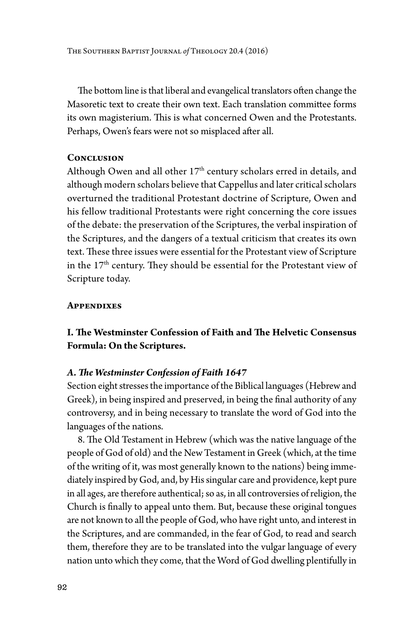The Southern Baptist Journal *of* Theology 20.4 (2016)

The bottom line is that liberal and evangelical translators often change the Masoretic text to create their own text. Each translation committee forms its own magisterium. This is what concerned Owen and the Protestants. Perhaps, Owen's fears were not so misplaced after all.

## **Conclusion**

Although Owen and all other 17<sup>th</sup> century scholars erred in details, and although modern scholars believe that Cappellus and later critical scholars overturned the traditional Protestant doctrine of Scripture, Owen and his fellow traditional Protestants were right concerning the core issues of the debate: the preservation of the Scriptures, the verbal inspiration of the Scriptures, and the dangers of a textual criticism that creates its own text. These three issues were essential for the Protestant view of Scripture in the 17<sup>th</sup> century. They should be essential for the Protestant view of Scripture today.

# **Appendixes**

# **I. The Westminster Confession of Faith and The Helvetic Consensus Formula: On the Scriptures.**

#### *A. The Westminster Confession of Faith 1647*

Section eight stresses the importance of the Biblical languages (Hebrew and Greek), in being inspired and preserved, in being the final authority of any controversy, and in being necessary to translate the word of God into the languages of the nations.

8. The Old Testament in Hebrew (which was the native language of the people of God of old) and the New Testament in Greek (which, at the time of the writing of it, was most generally known to the nations) being immediately inspired by God, and, by His singular care and providence, kept pure in all ages, are therefore authentical; so as, in all controversies of religion, the Church is finally to appeal unto them. But, because these original tongues are not known to all the people of God, who have right unto, and interest in the Scriptures, and are commanded, in the fear of God, to read and search them, therefore they are to be translated into the vulgar language of every nation unto which they come, that the Word of God dwelling plentifully in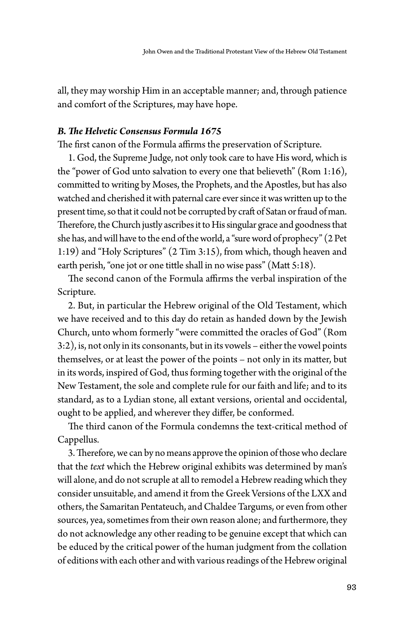all, they may worship Him in an acceptable manner; and, through patience and comfort of the Scriptures, may have hope.

# *B. The Helvetic Consensus Formula 1675*

The first canon of the Formula affirms the preservation of Scripture.

1. God, the Supreme Judge, not only took care to have His word, which is the "power of God unto salvation to every one that believeth" (Rom 1:16), committed to writing by Moses, the Prophets, and the Apostles, but has also watched and cherished it with paternal care ever since it was written up to the present time, so that it could not be corrupted by craft of Satan or fraud of man. Therefore, the Church justly ascribes it to His singular grace and goodness that she has, and will have to the end of the world, a "sure word of prophecy" (2 Pet 1:19) and "Holy Scriptures" (2 Tim 3:15), from which, though heaven and earth perish, "one jot or one tittle shall in no wise pass" (Matt 5:18).

The second canon of the Formula affirms the verbal inspiration of the Scripture.

2. But, in particular the Hebrew original of the Old Testament, which we have received and to this day do retain as handed down by the Jewish Church, unto whom formerly "were committed the oracles of God" (Rom 3:2), is, not only in its consonants, but in its vowels – either the vowel points themselves, or at least the power of the points – not only in its matter, but in its words, inspired of God, thus forming together with the original of the New Testament, the sole and complete rule for our faith and life; and to its standard, as to a Lydian stone, all extant versions, oriental and occidental, ought to be applied, and wherever they differ, be conformed.

The third canon of the Formula condemns the text-critical method of Cappellus.

3. Therefore, we can by no means approve the opinion of those who declare that the *text* which the Hebrew original exhibits was determined by man's will alone, and do not scruple at all to remodel a Hebrew reading which they consider unsuitable, and amend it from the Greek Versions of the LXX and others, the Samaritan Pentateuch, and Chaldee Targums, or even from other sources, yea, sometimes from their own reason alone; and furthermore, they do not acknowledge any other reading to be genuine except that which can be educed by the critical power of the human judgment from the collation of editions with each other and with various readings of the Hebrew original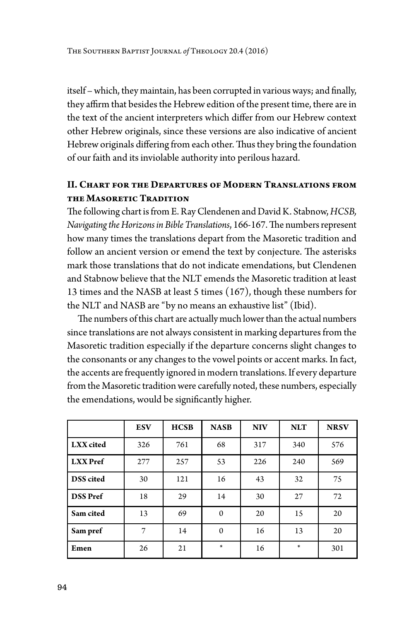itself – which, they maintain, has been corrupted in various ways; and finally, they affirm that besides the Hebrew edition of the present time, there are in the text of the ancient interpreters which differ from our Hebrew context other Hebrew originals, since these versions are also indicative of ancient Hebrew originals differing from each other. Thus they bring the foundation of our faith and its inviolable authority into perilous hazard.

# **II. Chart for the Departures of Modern Translations from the Masoretic Tradition**

The following chart is from E. Ray Clendenen and David K. Stabnow, *HCSB, Navigating the Horizons in Bible Translations*, 166-167. The numbers represent how many times the translations depart from the Masoretic tradition and follow an ancient version or emend the text by conjecture. The asterisks mark those translations that do not indicate emendations, but Clendenen and Stabnow believe that the NLT emends the Masoretic tradition at least 13 times and the NASB at least 5 times (167), though these numbers for the NLT and NASB are "by no means an exhaustive list" (Ibid).

The numbers of this chart are actually much lower than the actual numbers since translations are not always consistent in marking departures from the Masoretic tradition especially if the departure concerns slight changes to the consonants or any changes to the vowel points or accent marks. In fact, the accents are frequently ignored in modern translations. If every departure from the Masoretic tradition were carefully noted, these numbers, especially the emendations, would be significantly higher.

|                  | <b>ESV</b> | <b>HCSB</b> | <b>NASB</b> | <b>NIV</b> | <b>NLT</b> | <b>NRSV</b> |
|------------------|------------|-------------|-------------|------------|------------|-------------|
| LXX cited        | 326        | 761         | 68          | 317        | 340        | 576         |
| <b>LXX</b> Pref  | 277        | 257         | 53          | 226        | 240        | 569         |
| <b>DSS</b> cited | 30         | 121         | 16          | 43         | 32         | 75          |
| <b>DSS</b> Pref  | 18         | 29          | 14          | 30         | 27         | 72          |
| Sam cited        | 13         | 69          | $\Omega$    | 20         | 15         | 20          |
| Sam pref         | 7          | 14          | $\Omega$    | 16         | 13         | 20          |
| Emen             | 26         | 21          | $\ast$      | 16         | $\ast$     | 301         |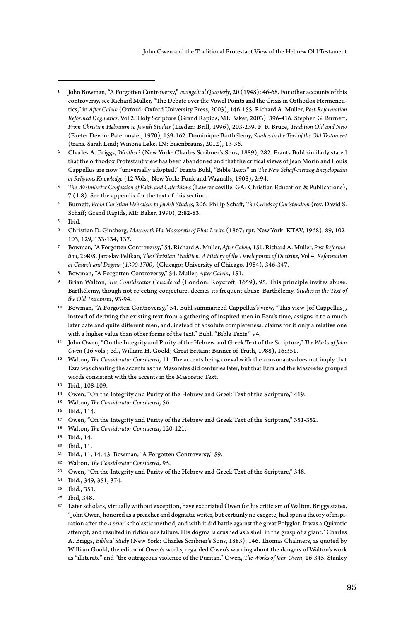- 7 Bowman, "A Forgotten Controversy," 54. Richard A. Muller, *After Calvin*, 151. Richard A. Muller, *Post-Reformation*, 2:408. Jaroslav Pelikan, *The Christian Tradition: A History of the Development of Doctrine*, Vol 4, *Reformation of Church and Dogma (1300-1700)* (Chicago: University of Chicago, 1984), 346-347.
- 8 Bowman, "A Forgotten Controversy," 54. Muller, *After Calvin*, 151.
- 9 Brian Walton, *The Considerator Considered* (London: Roycroft, 1659), 95. This principle invites abuse. Barthélemy, though not rejecting conjecture, decries its frequent abuse. Barthélemy, *Studies in the Text of the Old Testament*, 93-94.
- 10 Bowman, "A Forgotten Controversy," 54. Buhl summarized Cappellus's view, "This view [of Cappellus], instead of deriving the existing text from a gathering of inspired men in Ezra's time, assigns it to a much later date and quite different men, and, instead of absolute completeness, claims for it only a relative one with a higher value than other forms of the text." Buhl, "Bible Texts," 94.
- 11 John Owen, "On the Integrity and Purity of the Hebrew and Greek Text of the Scripture," *The Works of John Owen* (16 vols.; ed., William H. Goold; Great Britain: Banner of Truth, 1988), 16:351.
- 12 Walton, *The Considerator Considered*, 11. The accents being coeval with the consonants does not imply that Ezra was chanting the accents as the Masoretes did centuries later, but that Ezra and the Masoretes grouped words consistent with the accents in the Masoretic Text.
- 13 Ibid., 108-109.
- 14 Owen, "On the Integrity and Purity of the Hebrew and Greek Text of the Scripture," 419.
- 15 Walton, *The Considerator Considered*, 56.
- 16 Ibid., 114.
- 17 Owen, "On the Integrity and Purity of the Hebrew and Greek Text of the Scripture," 351-352.
- 18 Walton, *The Considerator Considered*, 120-121.
- 19 Ibid., 14.
- 20 Ibid., 11.
- 21 Ibid., 11, 14, 43. Bowman, "A Forgotten Controversy," 59.
- 22 Walton, *The Considerator Considered*, 95.
- 23 Owen, "On the Integrity and Purity of the Hebrew and Greek Text of the Scripture," 348.
- 24 Ibid., 349, 351, 374.
- 25 Ibid., 351.
- 26 Ibid, 348.
- 27 Later scholars, virtually without exception, have excoriated Owen for his criticism of Walton. Briggs states, "John Owen, honored as a preacher and dogmatic writer, but certainly no exegete, had spun a theory of inspiration after the *a priori* scholastic method, and with it did battle against the great Polyglot. It was a Quixotic attempt, and resulted in ridiculous failure. His dogma is crushed as a shell in the grasp of a giant." Charles A. Briggs, *Biblical Study* (New York: Charles Scribner's Sons, 1883), 146. Thomas Chalmers, as quoted by William Goold, the editor of Owen's works, regarded Owen's warning about the dangers of Walton's work as "illiterate" and "the outrageous violence of the Puritan." Owen, *The Works of John Owen*, 16:345. Stanley

<sup>1</sup> John Bowman, "A Forgotten Controversy," *Evangelical Quarterly*, 20 (1948): 46-68. For other accounts of this controversy, see Richard Muller, "The Debate over the Vowel Points and the Crisis in Orthodox Hermeneutics," in *After Calvin* (Oxford: Oxford University Press, 2003), 146-155. Richard A. Muller, *Post-Reformation Reformed Dogmatics*, Vol 2: Holy Scripture (Grand Rapids, MI: Baker, 2003), 396-416. Stephen G. Burnett, *From Christian Hebraism to Jewish Studies* (Lieden: Brill, 1996), 203-239. F. F. Bruce, *Tradition Old and New* (Exeter Devon: Paternoster, 1970), 159-162. Dominique Barthélemy, *Studies in the Text of the Old Testament* (trans. Sarah Lind; Winona Lake, IN: Eisenbrauns, 2012), 13-36.

<sup>2</sup> Charles A. Briggs, *Whither?* (New York: Charles Scribner's Sons, 1889), 282. Frants Buhl similarly stated that the orthodox Protestant view has been abandoned and that the critical views of Jean Morin and Louis Cappellus are now "universally adopted." Frants Buhl, "Bible Texts" in *The New Schaff-Herzog Encyclopedia of Religious Knowledge* (12 Vols.; New York: Funk and Wagnalls, 1908), 2:94.

<sup>3</sup> *The Westminster Confession of Faith and Catechisms* (Lawrenceville, GA: Christian Education & Publications), 7 (1.8). See the appendix for the text of this section.

<sup>4</sup> Burnett, *From Christian Hebraism to Jewish Studies*, 206. Philip Schaff, *The Creeds of Christendom* (rev. David S. Schaff; Grand Rapids, MI: Baker, 1990), 2:82-83.

<sup>5</sup> Ibid.

<sup>6</sup> Christian D. Ginsberg, *Massoreth Ha-Massoreth of Elias Levita* (1867; rpt. New York: KTAV, 1968), 89, 102- 103, 129, 133-134, 137.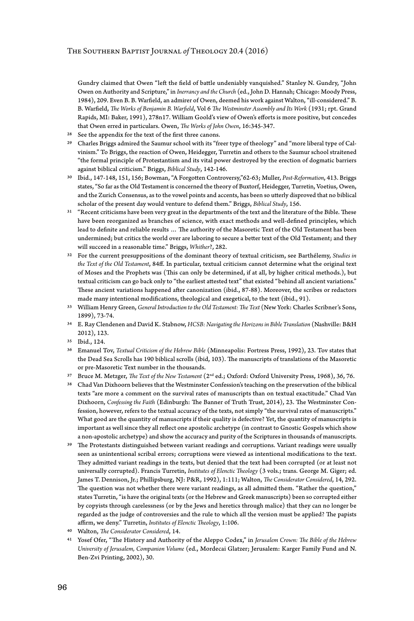Gundry claimed that Owen "left the field of battle undeniably vanquished." Stanley N. Gundry, "John Owen on Authority and Scripture," in *Inerrancy and the Church* (ed., John D. Hannah; Chicago: Moody Press, 1984), 209. Even B. B. Warfield, an admirer of Owen, deemed his work against Walton, "ill-considered." B. B. Warfield, *The Works of Benjamin B. Warfield*, Vol 6 *The Westminster Assembly and Its Work* (1931; rpt. Grand Rapids, MI: Baker, 1991), 278n17. William Goold's view of Owen's efforts is more positive, but concedes that Owen erred in particulars. Owen, *The Works of John Owen*, 16:345-347.

- 28 See the appendix for the text of the first three canons.
- 29 Charles Briggs admired the Saumur school with its "freer type of theology" and "more liberal type of Calvinism." To Briggs, the reaction of Owen, Heidegger, Turretin and others to the Saumur school straitened "the formal principle of Protestantism and its vital power destroyed by the erection of dogmatic barriers against biblical criticism." Briggs, *Biblical Study*, 142-146.
- 30 Ibid., 147-148, 151, 156; Bowman, "A Forgotten Controversy,"62-63; Muller, *Post-Reformation*, 413. Briggs states, "So far as the Old Testament is concerned the theory of Buxtorf, Heidegger, Turretin, Voetius, Owen, and the Zurich Consensus, as to the vowel points and accents, has been so utterly disproved that no biblical scholar of the present day would venture to defend them." Briggs, *Biblical Study*, 156.
- 31 "Recent criticisms have been very great in the departments of the text and the literature of the Bible. These have been reorganized as branches of science, with exact methods and well-defined principles, which lead to definite and reliable results … The authority of the Masoretic Text of the Old Testament has been undermined; but critics the world over are laboring to secure a better text of the Old Testament; and they will succeed in a reasonable time." Briggs, *Whither*?, 282.
- 32 For the current presuppositions of the dominant theory of textual criticism, see Barthélemy, *Studies in the Text of the Old Testament*, 84ff. In particular, textual criticism cannot determine what the original text of Moses and the Prophets was (This can only be determined, if at all, by higher critical methods.), but textual criticism can go back only to "the earliest attested text" that existed "behind all ancient variations." These ancient variations happened after canonization (ibid., 87-88). Moreover, the scribes or redactors made many intentional modifications, theological and exegetical, to the text (ibid., 91).
- 33 William Henry Green, *General Introduction to the Old Testament: The Text* (New York: Charles Scribner's Sons, 1899), 73-74.
- 34 E. Ray Clendenen and David K. Stabnow, *HCSB: Navigating the Horizons in Bible Translation* (Nashville: B&H 2012), 123.
- 35 Ibid., 124.
- 36 Emanuel Tov, *Textual Criticism of the Hebrew Bible* (Minneapolis: Fortress Press, 1992), 23. Tov states that the Dead Sea Scrolls has 190 biblical scrolls (ibid, 103). The manuscripts of translations of the Masoretic or pre-Masoretic Text number in the thousands.
- 37 Bruce M. Metzger, *The Text of the New Testament* (2nd ed.; Oxford: Oxford University Press, 1968), 36, 76.
- 38 Chad Van Dixhoorn believes that the Westminster Confession's teaching on the preservation of the biblical texts "are more a comment on the survival rates of manuscripts than on textual exactitude." Chad Van Dixhoorn, *Confessing the Faith* (Edinburgh: The Banner of Truth Trust, 2014), 23. The Westminster Confession, however, refers to the textual accuracy of the texts, not simply "the survival rates of manuscripts." What good are the quantity of manuscripts if their quality is defective? Yet, the quantity of manuscripts is important as well since they all reflect one apostolic archetype (in contrast to Gnostic Gospels which show a non-apostolic archetype) and show the accuracy and purity of the Scriptures in thousands of manuscripts.
- 39 The Protestants distinguished between variant readings and corruptions. Variant readings were usually seen as unintentional scribal errors; corruptions were viewed as intentional modifications to the text. They admitted variant readings in the texts, but denied that the text had been corrupted (or at least not universally corrupted). Francis Turretin, *Institutes of Elenctic Theology* (3 vols.; trans. George M. Giger; ed. James T. Dennison, Jr.; Phillipsburg, NJ: P&R, 1992), 1:111; Walton, *The Considerator Considered*, 14, 292. The question was not whether there were variant readings, as all admitted them. "Rather the question," states Turretin, "is have the original texts (or the Hebrew and Greek manuscripts) been so corrupted either by copyists through carelessness (or by the Jews and heretics through malice) that they can no longer be regarded as the judge of controversies and the rule to which all the version must be applied? The papists affirm, we deny." Turretin, *Institutes of Elenctic Theology*, 1:106.
- 40 Walton, *The Considerator Considered*, 14.
- 41 Yosef Ofer, "The History and Authority of the Aleppo Codex," in *Jerusalem Crown: The Bible of the Hebrew University of Jerusalem, Companion Volume* (ed., Mordecai Glatzer; Jerusalem: Karger Family Fund and N. Ben-Zvi Printing, 2002), 30.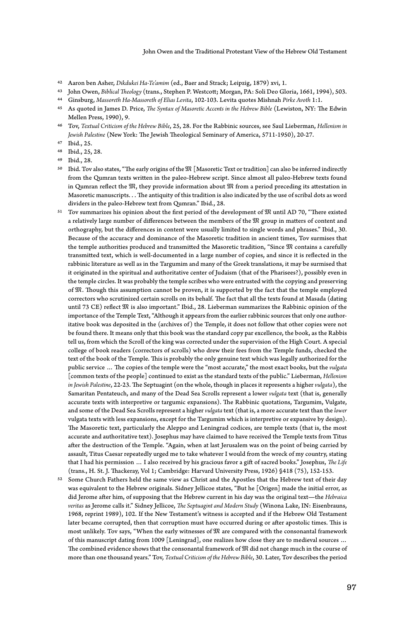- 42 Aaron ben Asher, *Dikdukei Ha-Te'amim* (ed., Baer and Strack; Leipzig, 1879) xvi, 1.
- 43 John Owen, *Biblical Theology* (trans., Stephen P. Westcott; Morgan, PA: Soli Deo Gloria, 1661, 1994), 503.
- 44 Ginsburg, *Massoreth Ha-Massoreth of Elias Levita*, 102-103. Levita quotes Mishnah *Pirke Avoth* 1:1.
- 45 As quoted in James D. Price, *The Syntax of Masoretic Accents in the Hebrew Bible* (Lewiston, NY: The Edwin Mellen Press, 1990), 9.
- 46 Tov, *Textual Criticism of the Hebrew Bible*, 25, 28. For the Rabbinic sources, see Saul Lieberman, *Hellenism in Jewish Palestine* (New York: The Jewish Theological Seminary of America, 5711-1950), 20-27.
- 47 Ibid., 25.
- 48 Ibid., 25, 28.
- 49 Ibid., 28.
- 50 Ibid. Tov also states, "The early origins of the  $\mathfrak{M}$  [Masoretic Text or tradition] can also be inferred indirectly from the Qumran texts written in the paleo-Hebrew script. Since almost all paleo-Hebrew texts found in Qumran reflect the  $\mathfrak{M}$ , they provide information about  $\mathfrak{M}$  from a period preceding its attestation in Masoretic manuscripts. . . The antiquity of this tradition is also indicated by the use of scribal dots as word dividers in the paleo-Hebrew text from Qumran." Ibid., 28.
- $51$  Tov summarizes his opinion about the first period of the development of  $\mathfrak M$  until AD 70, "There existed a relatively large number of differences between the members of the  $\mathfrak M$  group in matters of content and orthography, but the differences in content were usually limited to single words and phrases." Ibid., 30. Because of the accuracy and dominance of the Masoretic tradition in ancient times, Tov surmises that the temple authorities produced and transmitted the Masoretic tradition, "Since  $\mathfrak M$  contains a carefully transmitted text, which is well-documented in a large number of copies, and since it is reflected in the rabbinic literature as well as in the Targumim and many of the Greek translations, it may be surmised that it originated in the spiritual and authoritative center of Judaism (that of the Pharisees?), possibly even in the temple circles. It was probably the temple scribes who were entrusted with the copying and preserving of  $\mathfrak M$ . Though this assumption cannot be proven, it is supported by the fact that the temple employed correctors who scrutinized certain scrolls on its behalf. The fact that all the texts found at Masada (dating until 73 CE) reflect  $\mathfrak M$  is also important." Ibid., 28. Lieberman summarizes the Rabbinic opinion of the importance of the Temple Text, "Although it appears from the earlier rabbinic sources that only one authoritative book was deposited in the (archives of) the Temple, it does not follow that other copies were not be found there. It means only that this book was the standard copy par excellence, the book, as the Rabbis tell us, from which the Scroll of the king was corrected under the supervision of the High Court. A special college of book readers (correctors of scrolls) who drew their fees from the Temple funds, checked the text of the book of the Temple. This is probably the only genuine text which was legally authorized for the public service … The copies of the temple were the "most accurate," the most exact books, but the *vulgata* [common texts of the people] continued to exist as the standard texts of the public." Lieberman, *Hellenism in Jewish Palestine*, 22-23. The Septuagint (on the whole, though in places it represents a higher *vulgata*), the Samaritan Pentateuch, and many of the Dead Sea Scrolls represent a lower *vulgata* text (that is, generally accurate texts with interpretive or targumic expansions). The Rabbinic quotations, Targumim, Vulgate, and some of the Dead Sea Scrolls represent a higher *vulgata* text (that is, a more accurate text than the *lower* vulgata texts with less expansions, except for the Targumim which is interpretive or expansive by design). The Masoretic text, particularly the Aleppo and Leningrad codices, are temple texts (that is, the most accurate and authoritative text). Josephus may have claimed to have received the Temple texts from Titus after the destruction of the Temple. "Again, when at last Jerusalem was on the point of being carried by assault, Titus Caesar repeatedly urged me to take whatever I would from the wreck of my country, stating that I had his permission … I also received by his gracious favor a gift of sacred books." Josephus, *The Life* (trans., H. St. J. Thackeray, Vol 1; Cambridge: Harvard University Press, 1926) §418 (75), 152-153.
- 52 Some Church Fathers held the same view as Christ and the Apostles that the Hebrew text of their day was equivalent to the Hebrew originals. Sidney Jellicoe states, "But he [Origen] made the initial error, as did Jerome after him, of supposing that the Hebrew current in his day was the original text—the *Hebraica veritas* as Jerome calls it." Sidney Jellicoe, *The Septuagint and Modern Study* (Winona Lake, IN: Eisenbrauns, 1968, reprint 1989), 102. If the New Testament's witness is accepted and if the Hebrew Old Testament later became corrupted, then that corruption must have occurred during or after apostolic times. This is most unlikely. Tov says, "When the early witnesses of  $\mathfrak M$  are compared with the consonantal framework of this manuscript dating from 1009 [Leningrad], one realizes how close they are to medieval sources … The combined evidence shows that the consonantal framework of  $\mathfrak M$  did not change much in the course of more than one thousand years." Tov, *Textual Criticism of the Hebrew Bible*, 30. Later, Tov describes the period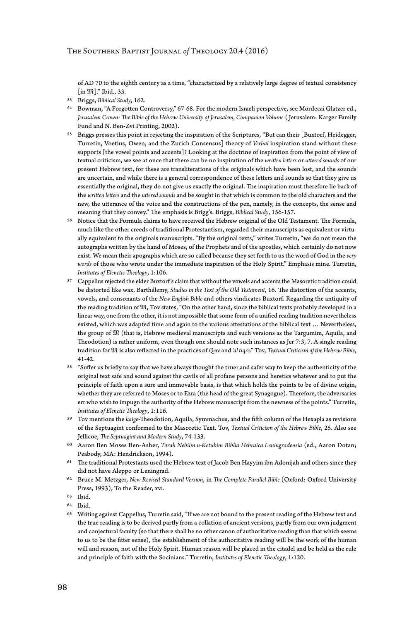of AD 70 to the eighth century as a time, "characterized by a relatively large degree of textual consistency [in  $\mathfrak{M}$ ]." Ibid., 33.

- 53 Briggs, *Biblical Study*, 162.
- 54 Bowman, "A Forgotten Controversy," 67-68. For the modern Israeli perspective, see Mordecai Glatzer ed., *Jerusalem Crown: The Bible of the Hebrew University of Jerusalem, Companion Volume* ( Jerusalem: Karger Family Fund and N. Ben-Zvi Printing, 2002).
- 55 Briggs presses this point in rejecting the inspiration of the Scriptures, "But can their [Buxtorf, Heidegger, Turretin, Voetius, Owen, and the Zurich Consensus] theory of *Verbal* inspiration stand without these supports [the vowel points and accents]? Looking at the doctrine of inspiration from the point of view of textual criticism, we see at once that there can be no inspiration of the *written letters* or *uttered sounds* of our present Hebrew text, for these are transliterations of the originals which have been lost, and the sounds are uncertain, and while there is a general correspondence of these letters and sounds so that they give us essentially the original, they do not give us exactly the original. The inspiration must therefore lie back of the *written letters* and the *uttered sounds* and be sought in that which is common to the old characters and the new, the utterance of the voice and the constructions of the pen, namely, in the concepts, the sense and meaning that they convey." The emphasis is Brigg's. Briggs, *Biblical Study*, 156-157.
- 56 Notice that the Formula claims to have received the Hebrew original of the Old Testament. The Formula, much like the other creeds of traditional Protestantism, regarded their manuscripts as equivalent or virtually equivalent to the originals manuscripts. "By the original texts," writes Turretin, "we do not mean the autographs written by the hand of Moses, of the Prophets and of the apostles, which certainly do not now exist. We mean their apographs which are so called because they set forth to us the word of God in the *very words* of those who wrote under the immediate inspiration of the Holy Spirit." Emphasis mine. Turretin, *Institutes of Elenctic Theology*, 1:106.
- 57 Cappellus rejected the elder Buxtorf's claim that without the vowels and accents the Masoretic tradition could be distorted like wax. Barthélemy, *Studies in the Text of the Old Testament*, 16. The distortion of the accents, vowels, and consonants of the *New English Bible* and others vindicates Buxtorf. Regarding the antiquity of the reading tradition of  $\mathfrak{M},$  Tov states, "On the other hand, since the biblical texts probably developed in a linear way, one from the other, it is not impossible that some form of a unified reading tradition nevertheless existed, which was adapted time and again to the various attestations of the biblical text … Nevertheless, the group of  $\mathfrak M$  (that is, Hebrew medieval manuscripts and such versions as the Targumim, Aquila, and Theodotion) is rather uniform, even though one should note such instances as Jer 7:3, 7. A single reading tradition for is also reflected in the practices of *Qere* and *'al tiqre*." Tov, *Textual Criticism of the Hebrew Bible*, 41-42.
- 58 "Suffer us briefly to say that we have always thought the truer and safer way to keep the authenticity of the original text safe and sound against the cavils of all profane persons and heretics whatever and to put the principle of faith upon a sure and immovable basis, is that which holds the points to be of divine origin, whether they are referred to Moses or to Ezra (the head of the great Synagogue). Therefore, the adversaries err who wish to impugn the authority of the Hebrew manuscript from the newness of the points." Turretin, *Institutes of Elenctic Theology*, 1:116.
- 59 Tov mentions the *kaige*-Theodotion, Aquila, Symmachus, and the fifth column of the Hexapla as revisions of the Septuagint conformed to the Masoretic Text. Tov, *Textual Criticism of the Hebrew Bible*, 25. Also see Jellicoe, *The Septuagint and Modern Study*, 74-133.
- 60 Aaron Ben Moses Ben-Asher, *Torah Nebiim u-Ketubim Biblia Hebraica Leningradensia* (ed., Aaron Dotan; Peabody, MA: Hendrickson, 1994).
- $61$  The traditional Protestants used the Hebrew text of Jacob Ben Hayyim ibn Adonijah and others since they did not have Aleppo or Leningrad.
- 62 Bruce M. Metzger, *New Revised Standard Version*, in *The Complete Parallel Bible* (Oxford: Oxford University Press, 1993), To the Reader, xvi.
- 63 Ibid.

65 Writing against Cappellus, Turretin said, "If we are not bound to the present reading of the Hebrew text and the true reading is to be derived partly from a collation of ancient versions, partly from our own judgment and conjectural faculty (so that there shall be no other canon of authoritative reading than that which seems to us to be the fitter sense), the establishment of the authoritative reading will be the work of the human will and reason, not of the Holy Spirit. Human reason will be placed in the citadel and be held as the rule and principle of faith with the Socinians." Turretin, *Institutes of Elenctic Theology*, 1:120.

<sup>64</sup> Ibid.